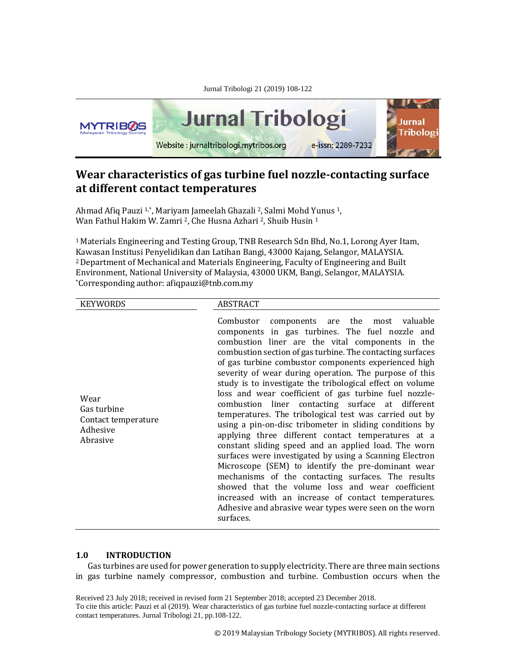

# **Wear characteristics of gas turbine fuel nozzle-contacting surface at different contact temperatures**

Ahmad Afiq Pauzi 1,\*, Mariyam Jameelah Ghazali 2, Salmi Mohd Yunus 1, Wan Fathul Hakim W. Zamri <sup>2</sup>, Che Husna Azhari <sup>2</sup>, Shuib Husin <sup>1</sup>

1 Materials Engineering and Testing Group, TNB Research Sdn Bhd, No.1, Lorong Ayer Itam, Kawasan Institusi Penyelidikan dan Latihan Bangi, 43000 Kajang, Selangor, MALAYSIA. 2Department of Mechanical and Materials Engineering, Faculty of Engineering and Built Environment, National University of Malaysia, 43000 UKM, Bangi, Selangor, MALAYSIA. \*Corresponding author: afiqpauzi@tnb.com.my

| <b>KEYWORDS</b>                                                    | <b>ABSTRACT</b>                                                                                                                                                                                                                                                                                                                                                                                                                                                                                                                                                                                                                                                                                                                                                                                                                                                                                                                                                                                                                                                                                            |
|--------------------------------------------------------------------|------------------------------------------------------------------------------------------------------------------------------------------------------------------------------------------------------------------------------------------------------------------------------------------------------------------------------------------------------------------------------------------------------------------------------------------------------------------------------------------------------------------------------------------------------------------------------------------------------------------------------------------------------------------------------------------------------------------------------------------------------------------------------------------------------------------------------------------------------------------------------------------------------------------------------------------------------------------------------------------------------------------------------------------------------------------------------------------------------------|
| Wear<br>Gas turbine<br>Contact temperature<br>Adhesive<br>Abrasive | Combustor<br>components are the most valuable<br>components in gas turbines. The fuel nozzle and<br>combustion liner are the vital components in the<br>combustion section of gas turbine. The contacting surfaces<br>of gas turbine combustor components experienced high<br>severity of wear during operation. The purpose of this<br>study is to investigate the tribological effect on volume<br>loss and wear coefficient of gas turbine fuel nozzle-<br>combustion liner contacting surface at different<br>temperatures. The tribological test was carried out by<br>using a pin-on-disc tribometer in sliding conditions by<br>applying three different contact temperatures at a<br>constant sliding speed and an applied load. The worn<br>surfaces were investigated by using a Scanning Electron<br>Microscope (SEM) to identify the pre-dominant wear<br>mechanisms of the contacting surfaces. The results<br>showed that the volume loss and wear coefficient<br>increased with an increase of contact temperatures.<br>Adhesive and abrasive wear types were seen on the worn<br>surfaces. |

# **1.0 INTRODUCTION**

Gas turbines are used for power generation to supply electricity. There are three main sections in gas turbine namely compressor, combustion and turbine. Combustion occurs when the

Received 23 July 2018; received in revised form 21 September 2018; accepted 23 December 2018. To cite this article: Pauzi et al (2019). Wear characteristics of gas turbine fuel nozzle-contacting surface at different contact temperatures. Jurnal Tribologi 21, pp.108-122.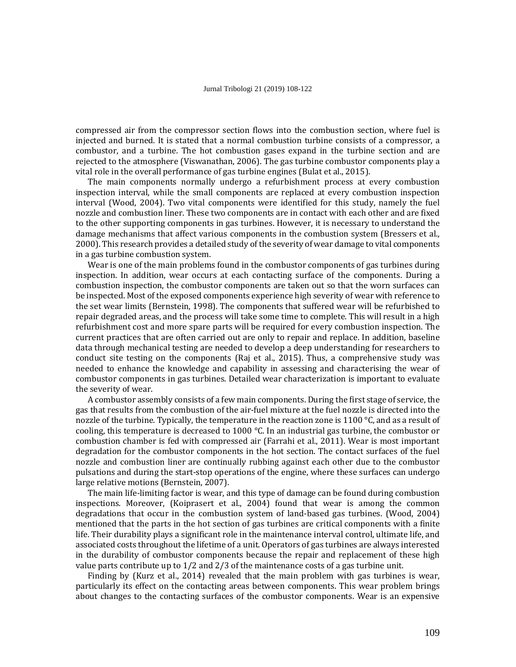compressed air from the compressor section flows into the combustion section, where fuel is injected and burned. It is stated that a normal combustion turbine consists of a compressor, a combustor, and a turbine. The hot combustion gases expand in the turbine section and are rejected to the atmosphere (Viswanathan, 2006). The gas turbine combustor components play a vital role in the overall performance of gas turbine engines (Bulat et al., 2015).

The main components normally undergo a refurbishment process at every combustion inspection interval, while the small components are replaced at every combustion inspection interval (Wood, 2004). Two vital components were identified for this study, namely the fuel nozzle and combustion liner. These two components are in contact with each other and are fixed to the other supporting components in gas turbines. However, it is necessary to understand the damage mechanisms that affect various components in the combustion system (Bressers et al., 2000). This research provides a detailed study of the severity of wear damage to vital components in a gas turbine combustion system.

Wear is one of the main problems found in the combustor components of gas turbines during inspection. In addition, wear occurs at each contacting surface of the components. During a combustion inspection, the combustor components are taken out so that the worn surfaces can be inspected. Most of the exposed components experience high severity of wear with reference to the set wear limits (Bernstein, 1998). The components that suffered wear will be refurbished to repair degraded areas, and the process will take some time to complete. This will result in a high refurbishment cost and more spare parts will be required for every combustion inspection. The current practices that are often carried out are only to repair and replace. In addition, baseline data through mechanical testing are needed to develop a deep understanding for researchers to conduct site testing on the components (Raj et al., 2015). Thus, a comprehensive study was needed to enhance the knowledge and capability in assessing and characterising the wear of combustor components in gas turbines. Detailed wear characterization is important to evaluate the severity of wear.

A combustor assembly consists of a few main components. During the first stage of service, the gas that results from the combustion of the air-fuel mixture at the fuel nozzle is directed into the nozzle of the turbine. Typically, the temperature in the reaction zone is 1100  $\degree$ C, and as a result of cooling, this temperature is decreased to 1000 °C. In an industrial gas turbine, the combustor or combustion chamber is fed with compressed air (Farrahi et al., 2011). Wear is most important degradation for the combustor components in the hot section. The contact surfaces of the fuel nozzle and combustion liner are continually rubbing against each other due to the combustor pulsations and during the start-stop operations of the engine, where these surfaces can undergo large relative motions (Bernstein, 2007).

The main life-limiting factor is wear, and this type of damage can be found during combustion inspections. Moreover, (Koiprasert et al., 2004) found that wear is among the common degradations that occur in the combustion system of land-based gas turbines. (Wood, 2004) mentioned that the parts in the hot section of gas turbines are critical components with a finite life. Their durability plays a significant role in the maintenance interval control, ultimate life, and associated costs throughout the lifetime of a unit. Operators of gas turbines are always interested in the durability of combustor components because the repair and replacement of these high value parts contribute up to 1/2 and 2/3 of the maintenance costs of a gas turbine unit.

Finding by (Kurz et al., 2014) revealed that the main problem with gas turbines is wear, particularly its effect on the contacting areas between components. This wear problem brings about changes to the contacting surfaces of the combustor components. Wear is an expensive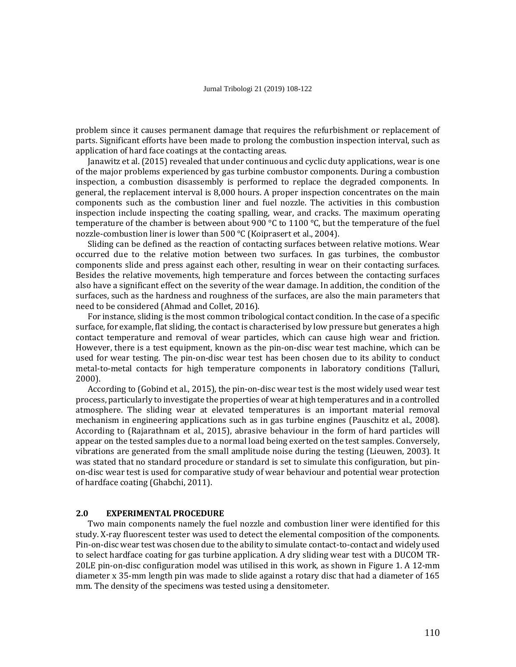problem since it causes permanent damage that requires the refurbishment or replacement of parts. Significant efforts have been made to prolong the combustion inspection interval, such as application of hard face coatings at the contacting areas.

Janawitz et al. (2015) revealed that under continuous and cyclic duty applications, wear is one of the major problems experienced by gas turbine combustor components. During a combustion inspection, a combustion disassembly is performed to replace the degraded components. In general, the replacement interval is 8,000 hours. A proper inspection concentrates on the main components such as the combustion liner and fuel nozzle. The activities in this combustion inspection include inspecting the coating spalling, wear, and cracks. The maximum operating temperature of the chamber is between about 900  $\degree$ C to 1100  $\degree$ C, but the temperature of the fuel nozzle-combustion liner is lower than 500 °C (Koiprasert et al., 2004).

Sliding can be defined as the reaction of contacting surfaces between relative motions. Wear occurred due to the relative motion between two surfaces. In gas turbines, the combustor components slide and press against each other, resulting in wear on their contacting surfaces. Besides the relative movements, high temperature and forces between the contacting surfaces also have a significant effect on the severity of the wear damage. In addition, the condition of the surfaces, such as the hardness and roughness of the surfaces, are also the main parameters that need to be considered (Ahmad and Collet, 2016).

For instance, sliding is the most common tribological contact condition. In the case of a specific surface, for example, flat sliding, the contact is characterised by low pressure but generates a high contact temperature and removal of wear particles, which can cause high wear and friction. However, there is a test equipment, known as the pin-on-disc wear test machine, which can be used for wear testing. The pin-on-disc wear test has been chosen due to its ability to conduct metal-to-metal contacts for high temperature components in laboratory conditions (Talluri, 2000).

According to (Gobind et al., 2015), the pin-on-disc wear test is the most widely used wear test process, particularly to investigate the properties of wear at high temperatures and in a controlled atmosphere. The sliding wear at elevated temperatures is an important material removal mechanism in engineering applications such as in gas turbine engines (Pauschitz et al., 2008). According to (Rajarathnam et al., 2015), abrasive behaviour in the form of hard particles will appear on the tested samples due to a normal load being exerted on the test samples. Conversely, vibrations are generated from the small amplitude noise during the testing (Lieuwen, 2003). It was stated that no standard procedure or standard is set to simulate this configuration, but pinon-disc wear test is used for comparative study of wear behaviour and potential wear protection of hardface coating (Ghabchi, 2011).

## **2.0 EXPERIMENTAL PROCEDURE**

Two main components namely the fuel nozzle and combustion liner were identified for this study. X-ray fluorescent tester was used to detect the elemental composition of the components. Pin-on-disc wear test was chosen due to the ability to simulate contact-to-contact and widely used to select hardface coating for gas turbine application. A dry sliding wear test with a DUCOM TR-20LE pin-on-disc configuration model was utilised in this work, as shown in Figure 1. A 12-mm diameter x 35-mm length pin was made to slide against a rotary disc that had a diameter of 165 mm. The density of the specimens was tested using a densitometer.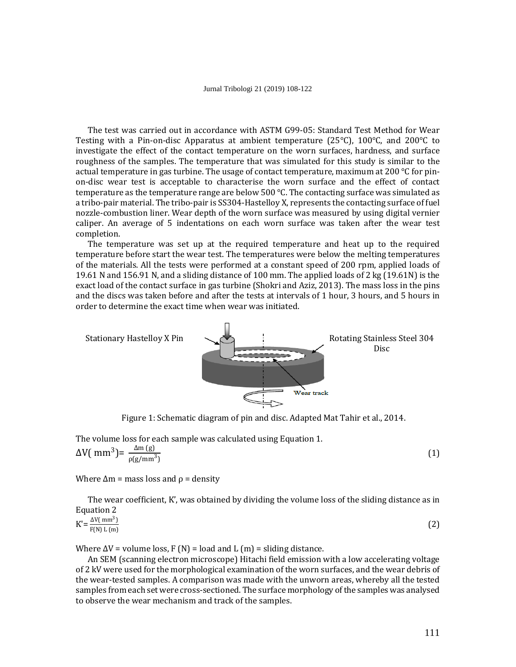The test was carried out in accordance with ASTM G99-05: Standard Test Method for Wear Testing with a Pin-on-disc Apparatus at ambient temperature (25°C), 100°C, and 200°C to investigate the effect of the contact temperature on the worn surfaces, hardness, and surface roughness of the samples. The temperature that was simulated for this study is similar to the actual temperature in gas turbine. The usage of contact temperature, maximum at 200  $\degree$ C for pinon-disc wear test is acceptable to characterise the worn surface and the effect of contact temperature as the temperature range are below  $500^{\circ}$ C. The contacting surface was simulated as a tribo-pair material. The tribo-pair is SS304-Hastelloy X, represents the contacting surface of fuel nozzle-combustion liner. Wear depth of the worn surface was measured by using digital vernier caliper. An average of 5 indentations on each worn surface was taken after the wear test completion.

The temperature was set up at the required temperature and heat up to the required temperature before start the wear test. The temperatures were below the melting temperatures of the materials. All the tests were performed at a constant speed of 200 rpm, applied loads of 19.61 N and 156.91 N, and a sliding distance of 100 mm. The applied loads of 2 kg (19.61N) is the exact load of the contact surface in gas turbine (Shokri and Aziz, 2013). The mass loss in the pins and the discs was taken before and after the tests at intervals of 1 hour, 3 hours, and 5 hours in order to determine the exact time when wear was initiated.



Figure 1: Schematic diagram of pin and disc. Adapted Mat Tahir et al., 2014.

The volume loss for each sample was calculated using Equation 1.

$$
\Delta V(\text{mm}^3) = \frac{\Delta \text{m (g)}}{\rho(\text{g/mm}^3)}
$$
 (1)

Where  $\Delta m$  = mass loss and  $\rho$  = density

The wear coefficient, K', was obtained by dividing the volume loss of the sliding distance as in Equation 2

| $\Delta V$ (mm <sup>3</sup> )<br>F(N) L(m) | ורי<br>- |
|--------------------------------------------|----------|
|                                            |          |

Where  $\Delta V$  = volume loss, F (N) = load and L (m) = sliding distance.

An SEM (scanning electron microscope) Hitachi field emission with a low accelerating voltage of 2 kV were used for the morphological examination of the worn surfaces, and the wear debris of the wear-tested samples. A comparison was made with the unworn areas, whereby all the tested samples from each set were cross-sectioned. The surface morphology of the samples was analysed to observe the wear mechanism and track of the samples.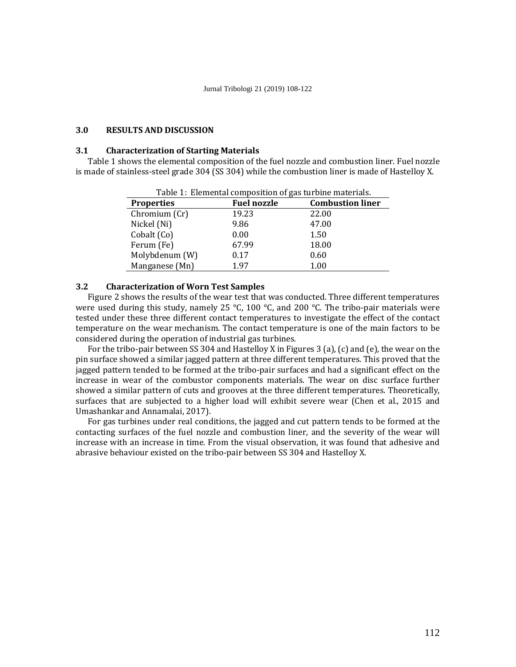## **3.0 RESULTS AND DISCUSSION**

### **3.1 Characterization of Starting Materials**

Table 1 shows the elemental composition of the fuel nozzle and combustion liner. Fuel nozzle is made of stainless-steel grade 304 (SS 304) while the combustion liner is made of Hastelloy X.

| Table 1: Elemental composition of gas turbine materials. |                    |                         |  |
|----------------------------------------------------------|--------------------|-------------------------|--|
| <b>Properties</b>                                        | <b>Fuel nozzle</b> | <b>Combustion liner</b> |  |
| Chromium (Cr)                                            | 19.23              | 22.00                   |  |
| Nickel (Ni)                                              | 9.86               | 47.00                   |  |
| Cobalt (Co)                                              | 0.00               | 1.50                    |  |
| Ferum (Fe)                                               | 67.99              | 18.00                   |  |
| Molybdenum (W)                                           | 0.17               | 0.60                    |  |
| Manganese (Mn)                                           | 1.97               | 1.00                    |  |

Table 1: Elemental composition of gas turbine materials.

## **3.2 Characterization of Worn Test Samples**

Figure 2 shows the results of the wear test that was conducted. Three different temperatures were used during this study, namely 25 °C, 100 °C, and 200 °C. The tribo-pair materials were tested under these three different contact temperatures to investigate the effect of the contact temperature on the wear mechanism. The contact temperature is one of the main factors to be considered during the operation of industrial gas turbines.

For the tribo-pair between SS 304 and Hastelloy X in Figures 3 (a), (c) and (e), the wear on the pin surface showed a similar jagged pattern at three different temperatures. This proved that the jagged pattern tended to be formed at the tribo-pair surfaces and had a significant effect on the increase in wear of the combustor components materials. The wear on disc surface further showed a similar pattern of cuts and grooves at the three different temperatures. Theoretically, surfaces that are subjected to a higher load will exhibit severe wear (Chen et al., 2015 and Umashankar and Annamalai, 2017).

For gas turbines under real conditions, the jagged and cut pattern tends to be formed at the contacting surfaces of the fuel nozzle and combustion liner, and the severity of the wear will increase with an increase in time. From the visual observation, it was found that adhesive and abrasive behaviour existed on the tribo-pair between SS 304 and Hastelloy X.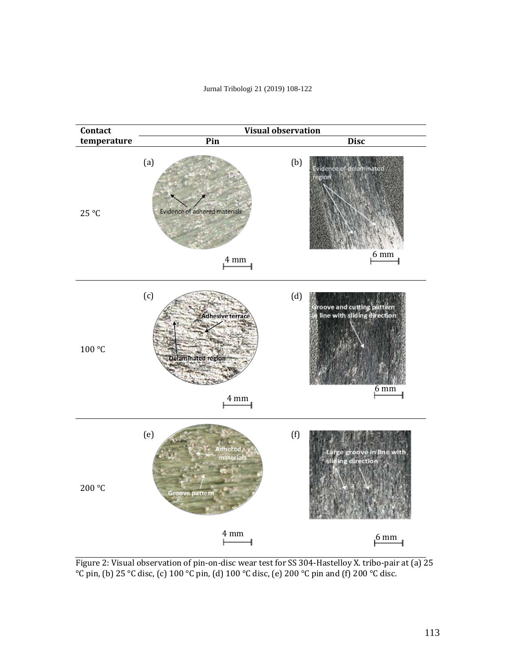



Figure 2: Visual observation of pin-on-disc wear test for SS 304-Hastelloy X. tribo-pair at (a) 25 °C pin, (b) 25 °C disc, (c) 100 °C pin, (d) 100 °C disc, (e) 200 °C pin and (f) 200 °C disc.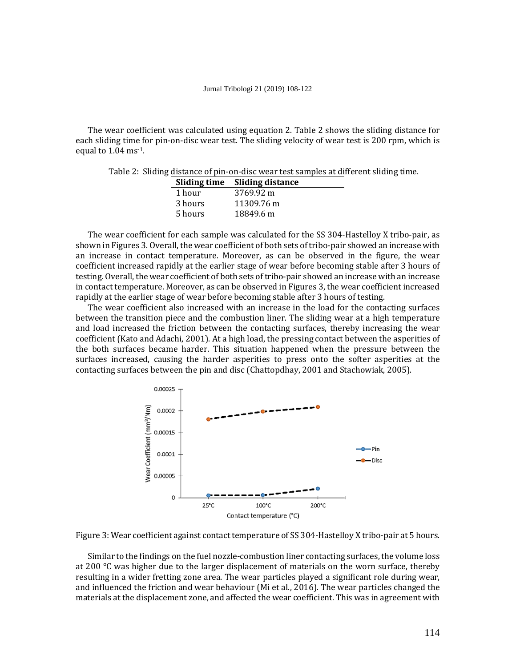The wear coefficient was calculated using equation 2. Table 2 shows the sliding distance for each sliding time for pin-on-disc wear test. The sliding velocity of wear test is 200 rpm, which is equal to 1.04 ms-1.

Table 2: Sliding distance of pin-on-disc wear test samples at different sliding time.

|         | Sliding time Sliding distance |
|---------|-------------------------------|
| 1 hour  | 3769.92 m                     |
| 3 hours | 11309.76 m                    |
| 5 hours | 18849.6 m                     |

The wear coefficient for each sample was calculated for the SS 304-Hastelloy X tribo-pair, as shown in Figures 3. Overall, the wear coefficient of both sets of tribo-pair showed an increase with an increase in contact temperature. Moreover, as can be observed in the figure, the wear coefficient increased rapidly at the earlier stage of wear before becoming stable after 3 hours of testing. Overall, the wear coefficient of both sets of tribo-pair showed an increase with an increase in contact temperature. Moreover, as can be observed in Figures 3, the wear coefficient increased rapidly at the earlier stage of wear before becoming stable after 3 hours of testing.

The wear coefficient also increased with an increase in the load for the contacting surfaces between the transition piece and the combustion liner. The sliding wear at a high temperature and load increased the friction between the contacting surfaces, thereby increasing the wear coefficient (Kato and Adachi, 2001). At a high load, the pressing contact between the asperities of the both surfaces became harder. This situation happened when the pressure between the surfaces increased, causing the harder asperities to press onto the softer asperities at the contacting surfaces between the pin and disc (Chattopdhay, 2001 and Stachowiak, 2005).



Figure 3: Wear coefficient against contact temperature of SS 304-Hastelloy X tribo-pair at 5 hours.

Similar to the findings on the fuel nozzle-combustion liner contacting surfaces, the volume loss at 200 °C was higher due to the larger displacement of materials on the worn surface, thereby resulting in a wider fretting zone area. The wear particles played a significant role during wear, and influenced the friction and wear behaviour (Mi et al., 2016). The wear particles changed the materials at the displacement zone, and affected the wear coefficient. This was in agreement with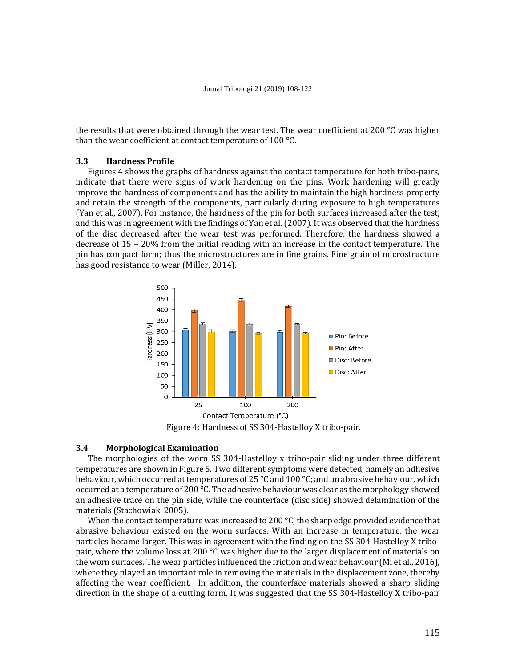the results that were obtained through the wear test. The wear coefficient at 200  $\degree$ C was higher than the wear coefficient at contact temperature of 100 °C.

## **3.3 Hardness Profile**

Figures 4 shows the graphs of hardness against the contact temperature for both tribo-pairs, indicate that there were signs of work hardening on the pins. Work hardening will greatly improve the hardness of components and has the ability to maintain the high hardness property and retain the strength of the components, particularly during exposure to high temperatures (Yan et al., 2007). For instance, the hardness of the pin for both surfaces increased after the test, and this was in agreement with the findings of Yan et al. (2007). It was observed that the hardness of the disc decreased after the wear test was performed. Therefore, the hardness showed a decrease of 15 – 20% from the initial reading with an increase in the contact temperature. The pin has compact form; thus the microstructures are in fine grains. Fine grain of microstructure has good resistance to wear (Miller, 2014).



Figure 4: Hardness of SS 304-Hastelloy X tribo-pair.

### **3.4 Morphological Examination**

The morphologies of the worn SS 304-Hastelloy x tribo-pair sliding under three different temperatures are shown in Figure 5. Two different symptoms were detected, namely an adhesive behaviour, which occurred at temperatures of 25 °C and 100 °C; and an abrasive behaviour, which occurred at a temperature of 200 °C. The adhesive behaviour was clear as the morphology showed an adhesive trace on the pin side, while the counterface (disc side) showed delamination of the materials (Stachowiak, 2005).

When the contact temperature was increased to 200  $\degree$ C, the sharp edge provided evidence that abrasive behaviour existed on the worn surfaces. With an increase in temperature, the wear particles became larger. This was in agreement with the finding on the SS 304-Hastelloy X tribopair, where the volume loss at 200  $\degree$ C was higher due to the larger displacement of materials on the worn surfaces. The wear particles influenced the friction and wear behaviour (Mi et al., 2016), where they played an important role in removing the materials in the displacement zone, thereby affecting the wear coefficient. In addition, the counterface materials showed a sharp sliding direction in the shape of a cutting form. It was suggested that the SS 304-Hastelloy X tribo-pair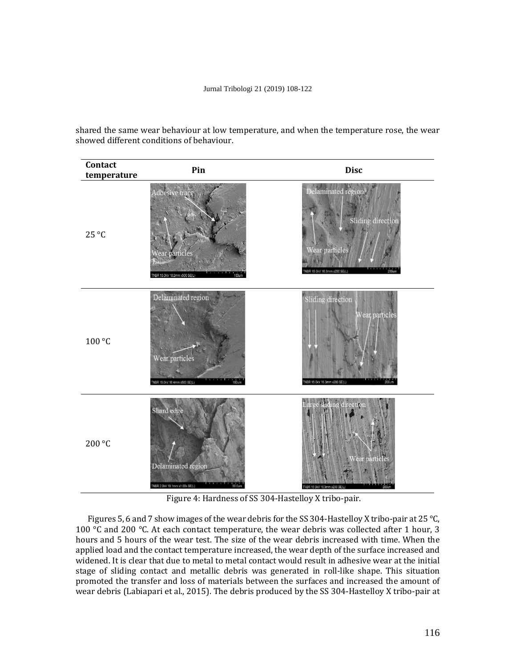shared the same wear behaviour at low temperature, and when the temperature rose, the wear showed different conditions of behaviour.

| Contact<br>temperature | Pin                                                                              | <b>Disc</b>                                                                                          |
|------------------------|----------------------------------------------------------------------------------|------------------------------------------------------------------------------------------------------|
| 25 °C                  | Adhesive trace<br>Wear particles<br>NBR 15.0kV 16.2mm x500 SE(L)<br>100um        | elaminated region<br>Sliding direction<br>Wear particles<br>$200$ um<br>NBR 15.0kV 16.3mm x200 SE(L) |
| 100 °C                 | Delaminated region<br>Wear particles<br>$100$ um<br>TNBR 15,0W 16.4mm x500 SE(L) | Sliding direction<br>Vear, particles<br>TNBR 15.0kV 16.3mm x200 SE(L)<br>200                         |
| 200 °C                 | Shard edge<br>Delaminated region<br>TNBR 2.0kV 18.1mm x1.00k SE(L)               | sliding direction<br>Wear particles<br>TNBR 15.0W 16.3mm x200 SE(L)                                  |

Figure 4: Hardness of SS 304-Hastelloy X tribo-pair.

Figures 5, 6 and 7 show images of the wear debris for the SS 304-Hastelloy X tribo-pair at 25 °C, 100  $\degree$ C and 200  $\degree$ C. At each contact temperature, the wear debris was collected after 1 hour, 3 hours and 5 hours of the wear test. The size of the wear debris increased with time. When the applied load and the contact temperature increased, the wear depth of the surface increased and widened. It is clear that due to metal to metal contact would result in adhesive wear at the initial stage of sliding contact and metallic debris was generated in roll-like shape. This situation promoted the transfer and loss of materials between the surfaces and increased the amount of wear debris (Labiapari et al., 2015). The debris produced by the SS 304-Hastelloy X tribo-pair at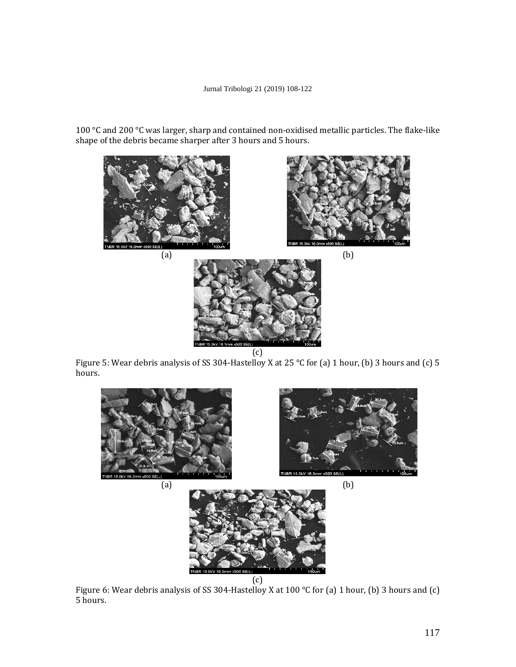100 °C and 200 °C was larger, sharp and contained non-oxidised metallic particles. The flake-like shape of the debris became sharper after 3 hours and 5 hours.



Figure 5: Wear debris analysis of SS 304-Hastelloy X at 25 °C for (a) 1 hour, (b) 3 hours and (c) 5 hours.



Figure 6: Wear debris analysis of SS 304-Hastelloy X at 100 °C for (a) 1 hour, (b) 3 hours and (c) 5 hours.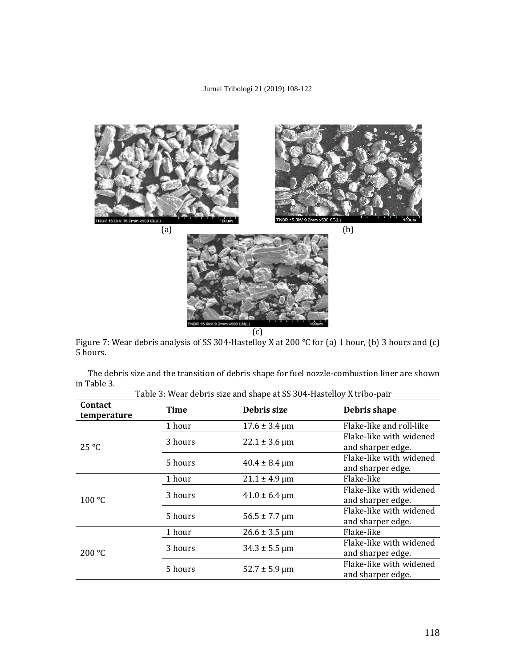

Figure 7: Wear debris analysis of SS 304-Hastelloy X at 200 °C for (a) 1 hour, (b) 3 hours and (c) 5 hours.

| Table 3: Wear debris size and shape at SS 304-Hastelloy X tribo-pair |             |                                   |                                              |  |
|----------------------------------------------------------------------|-------------|-----------------------------------|----------------------------------------------|--|
| <b>Contact</b><br>temperature                                        | <b>Time</b> | Debris size                       | Debris shape                                 |  |
| $25^{\circ}C$                                                        | 1 hour      | $17.6 \pm 3.4 \,\mu m$            | Flake-like and roll-like                     |  |
|                                                                      | 3 hours     | $22.1 \pm 3.6 \,\mu m$            | Flake-like with widened<br>and sharper edge. |  |
|                                                                      | 5 hours     | $40.4 \pm 8.4 \,\mu m$            | Flake-like with widened<br>and sharper edge. |  |
| 100 °C                                                               | 1 hour      | $21.1 \pm 4.9 \,\text{\textmu m}$ | Flake-like                                   |  |
|                                                                      | 3 hours     | $41.0 \pm 6.4 \,\mathrm{\mu m}$   | Flake-like with widened<br>and sharper edge. |  |
|                                                                      | 5 hours     | $56.5 \pm 7.7 \,\mu m$            | Flake-like with widened<br>and sharper edge. |  |
| 200 °C                                                               | 1 hour      | $26.6 \pm 3.5 \,\mu m$            | Flake-like                                   |  |
|                                                                      | 3 hours     | $34.3 \pm 5.5 \,\mu m$            | Flake-like with widened<br>and sharper edge. |  |
|                                                                      | 5 hours     | $52.7 \pm 5.9 \,\mu m$            | Flake-like with widened<br>and sharper edge. |  |

The debris size and the transition of debris shape for fuel nozzle-combustion liner are shown in Table 3.

118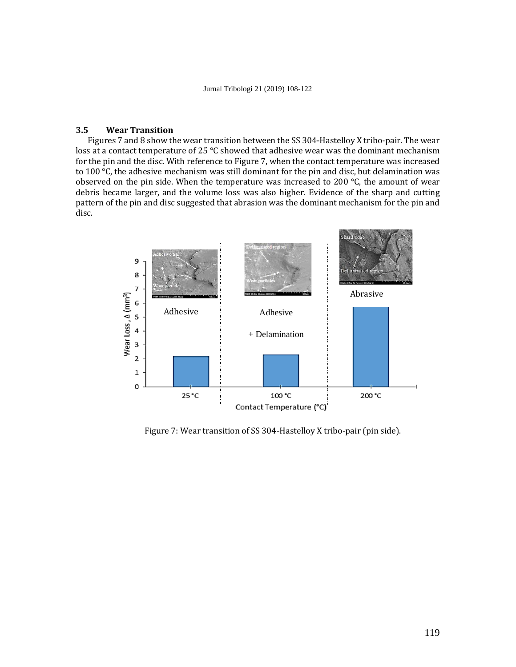## **3.5 Wear Transition**

Figures 7 and 8 show the wear transition between the SS 304-Hastelloy X tribo-pair. The wear loss at a contact temperature of 25 °C showed that adhesive wear was the dominant mechanism for the pin and the disc. With reference to Figure 7, when the contact temperature was increased to 100  $\degree$ C, the adhesive mechanism was still dominant for the pin and disc, but delamination was observed on the pin side. When the temperature was increased to 200 °C, the amount of wear debris became larger, and the volume loss was also higher. Evidence of the sharp and cutting pattern of the pin and disc suggested that abrasion was the dominant mechanism for the pin and disc.



Figure 7: Wear transition of SS 304-Hastelloy X tribo-pair (pin side).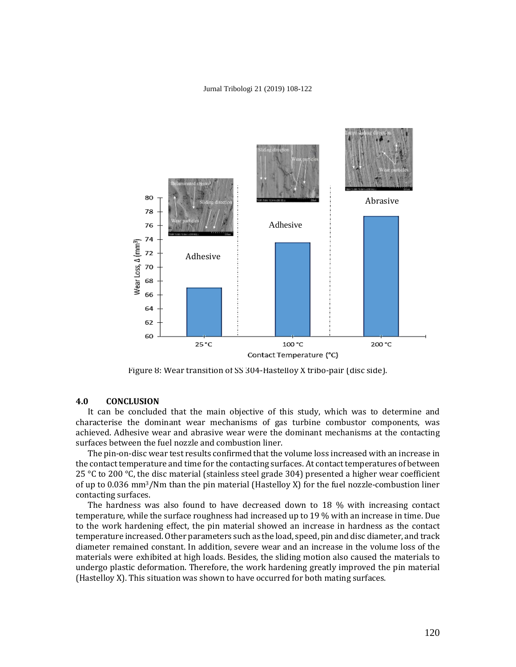

Figure 8: Wear transition of SS 304-Hastelloy X tribo-pair (disc side).

## **4.0 CONCLUSION**

It can be concluded that the main objective of this study, which was to determine and characterise the dominant wear mechanisms of gas turbine combustor components, was achieved. Adhesive wear and abrasive wear were the dominant mechanisms at the contacting surfaces between the fuel nozzle and combustion liner.

The pin-on-disc wear test results confirmed that the volume loss increased with an increase in the contact temperature and time for the contacting surfaces. At contact temperatures of between 25 °C to 200 °C, the disc material (stainless steel grade 304) presented a higher wear coefficient of up to 0.036 mm<sup>3</sup>/Nm than the pin material (Hastelloy X) for the fuel nozzle-combustion liner contacting surfaces.

The hardness was also found to have decreased down to 18 % with increasing contact temperature, while the surface roughness had increased up to 19 % with an increase in time. Due to the work hardening effect, the pin material showed an increase in hardness as the contact temperature increased. Other parameters such as the load, speed, pin and disc diameter, and track diameter remained constant. In addition, severe wear and an increase in the volume loss of the materials were exhibited at high loads. Besides, the sliding motion also caused the materials to undergo plastic deformation. Therefore, the work hardening greatly improved the pin material (Hastelloy X). This situation was shown to have occurred for both mating surfaces.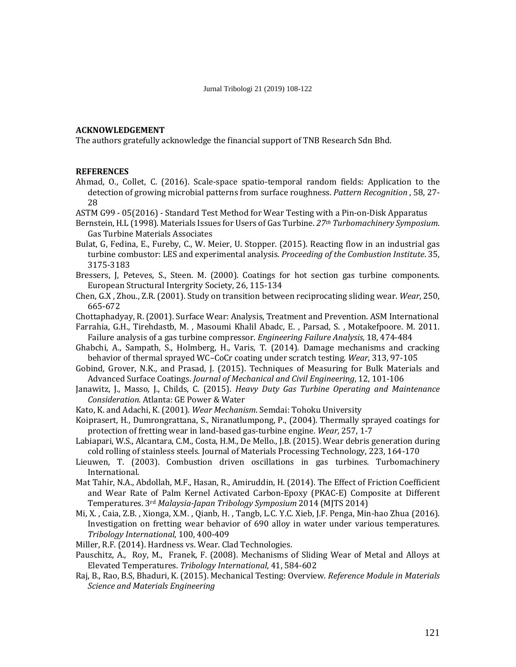# **ACKNOWLEDGEMENT**

The authors gratefully acknowledge the financial support of TNB Research Sdn Bhd.

## **REFERENCES**

- Ahmad, O., Collet, C. (2016). Scale-space spatio-temporal random fields: Application to the detection of growing microbial patterns from surface roughness. *Pattern Recognition* , 58, 27- 28
- ASTM G99 05(2016) Standard Test Method for Wear Testing with a Pin-on-Disk Apparatus
- Bernstein, H.L (1998). Materials Issues for Users of Gas Turbine. *27th Turbomachinery Symposium*. Gas Turbine Materials Associates
- Bulat, G, Fedina, E., Fureby, C., W. Meier, U. Stopper. (2015). Reacting flow in an industrial gas turbine combustor: LES and experimental analysis. *Proceeding of the Combustion Institute*. 35, 3175-3183
- Bressers, J, Peteves, S., Steen. M. (2000). Coatings for hot section gas turbine components. European Structural Intergrity Society, 26, 115-134
- Chen, G.X , Zhou., Z.R. (2001). Study on transition between reciprocating sliding wear. *Wear*, 250, 665-672
- Chottaphadyay, R. (2001). Surface Wear: Analysis, Treatment and Prevention. ASM International
- Farrahia, G.H., Tirehdastb, M. , Masoumi Khalil Abadc, E. , Parsad, S. , Motakefpoore. M. 2011. Failure analysis of a gas turbine compressor. *Engineering Failure Analysis,* 18, 474-484
- Ghabchi, A., Sampath, S., Holmberg, H., Varis, T. (2014). Damage mechanisms and cracking behavior of thermal sprayed WC–CoCr coating under scratch testing. *Wear*, 313, 97-105
- Gobind, Grover, N.K., and Prasad, J. (2015). Techniques of Measuring for Bulk Materials and Advanced Surface Coatings. *Journal of Mechanical and Civil Engineering*, 12, 101-106
- Janawitz, J., Masso, J., Childs, C. (2015). *Heavy Duty Gas Turbine Operating and Maintenance Consideration.* Atlanta: GE Power & Water
- Kato, K. and Adachi, K. (2001). *Wear Mechanism*. Semdai: Tohoku University
- Koiprasert, H., Dumrongrattana, S., Niranatlumpong, P., (2004). Thermally sprayed coatings for protection of fretting wear in land-based gas-turbine engine. *Wear,* 257, 1-7
- Labiapari, W.S., Alcantara, C.M., Costa, H.M., De Mello., J.B. (2015). Wear debris generation during cold rolling of stainless steels. Journal of Materials Processing Technology, 223, 164-170
- Lieuwen, T. (2003). Combustion driven oscillations in gas turbines. Turbomachinery International.
- Mat Tahir, N.A., Abdollah, M.F., Hasan, R., Amiruddin, H. (2014). The Effect of Friction Coefficient and Wear Rate of Palm Kernel Activated Carbon-Epoxy (PKAC-E) Composite at Different Temperatures. 3rd *Malaysia-Japan Tribology Symposium* 2014 (MJTS 2014)
- Mi, X. , Caia, Z.B. , Xionga, X.M. , Qianb, H. , Tangb, L.C. Y.C. Xieb, J.F. Penga, Min-hao Zhua (2016). Investigation on fretting wear behavior of 690 alloy in water under various temperatures. *Tribology International*, 100, 400-409

Miller, R.F. (2014). Hardness vs. Wear. Clad Technologies.

- Pauschitz, A., Roy, M., Franek, F. (2008). Mechanisms of Sliding Wear of Metal and Alloys at Elevated Temperatures. *Tribology International*, 41, 584-602
- Raj, B., Rao, B.S, Bhaduri, K. (2015). Mechanical Testing: Overview. *Reference Module in Materials Science and Materials Engineering*